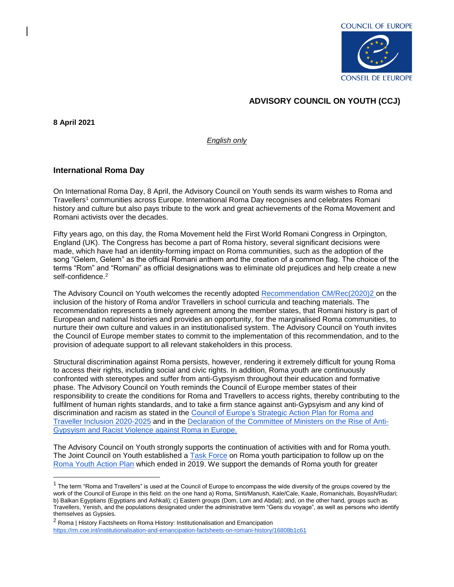

## **ADVISORY COUNCIL ON YOUTH (CCJ)**

**8 April 2021**

 $\overline{a}$ 

*English only*

## **International Roma Day**

On International Roma Day, 8 April, the Advisory Council on Youth sends its warm wishes to Roma and Travellers<sup>1</sup> communities across Europe. International Roma Day recognises and celebrates Romani history and culture but also pays tribute to the work and great achievements of the Roma Movement and Romani activists over the decades.

Fifty years ago, on this day, the Roma Movement held the First World Romani Congress in Orpington, England (UK). The Congress has become a part of Roma history, several significant decisions were made, which have had an identity-forming impact on Roma communities, such as the adoption of the song "Gelem, Gelem" as the official Romani anthem and the creation of a common flag. The choice of the terms "Rom" and "Romani" as official designations was to eliminate old prejudices and help create a new self-confidence.<sup>2</sup>

The Advisory Council on Youth welcomes the recently adopted [Recommendation CM/Rec\(2020\)2 o](https://search.coe.int/cm/Pages/result_details.aspx?ObjectId=09000016809ee48c)n the inclusion of the history of Roma and/or Travellers in school curricula and teaching materials. The recommendation represents a timely agreement among the member states, that Romani history is part of European and national histories and provides an opportunity, for the marginalised Roma communities, to nurture their own culture and values in an institutionalised system. The Advisory Council on Youth invites the Council of Europe member states to commit to the implementation of this recommendation, and to the provision of adequate support to all relevant stakeholders in this process.

Structural discrimination against Roma persists, however, rendering it extremely difficult for young Roma to access their rights, including social and civic rights. In addition, Roma youth are continuously confronted with stereotypes and suffer from anti-Gypsyism throughout their education and formative phase. The Advisory Council on Youth reminds the Council of Europe member states of their responsibility to create the conditions for Roma and Travellers to access rights, thereby contributing to the fulfilment of human rights standards, and to take a firm stance against anti-Gypsyism and any kind of discrimination and racism as stated in the [Council of Europe's Strategic Action Plan for Roma and](https://search.coe.int/cm/Pages/result_details.aspx?ObjectId=0900001680998933#_Toc18570824)  [Traveller Inclusion 2020-2025](https://search.coe.int/cm/Pages/result_details.aspx?ObjectId=0900001680998933#_Toc18570824) and in the [Declaration of the Committee of Ministers on the Rise of Anti-](https://search.coe.int/cm/Pages/result_details.aspx?ObjectId=09000016805cb2c8)[Gypsyism and Racist Violence against Roma in Europe.](https://search.coe.int/cm/Pages/result_details.aspx?ObjectId=09000016805cb2c8)

The Advisory Council on Youth strongly supports the continuation of activities with and for Roma youth. The Joint Council on Youth established a [Task Force](https://www.coe.int/en/web/youth-roma/task-force-on-roma-youth-participation) on Roma youth participation to follow up on the [Roma Youth Action Plan](https://www.coe.int/en/web/youth-roma/home?desktop=true) which ended in 2019. We support the demands of Roma youth for greater

 $1$  The term "Roma and Travellers" is used at the Council of Europe to encompass the wide diversity of the groups covered by the work of the Council of Europe in this field: on the one hand a) Roma, Sinti/Manush, Kale/Cale, Kaale, Romanichals, Boyash/Rudari; b) Balkan Egyptians (Egyptians and Ashkali); c) Eastern groups (Dom, Lom and Abdal); and, on the other hand, groups such as Travellers, Yenish, and the populations designated under the administrative term "Gens du voyage", as well as persons who identify themselves as Gypsies.

 $2$  Roma | History Factsheets on Roma History: Institutionalisation and Emancipation <https://rm.coe.int/institutionalisation-and-emancipation-factsheets-on-romani-history/16808b1c61>